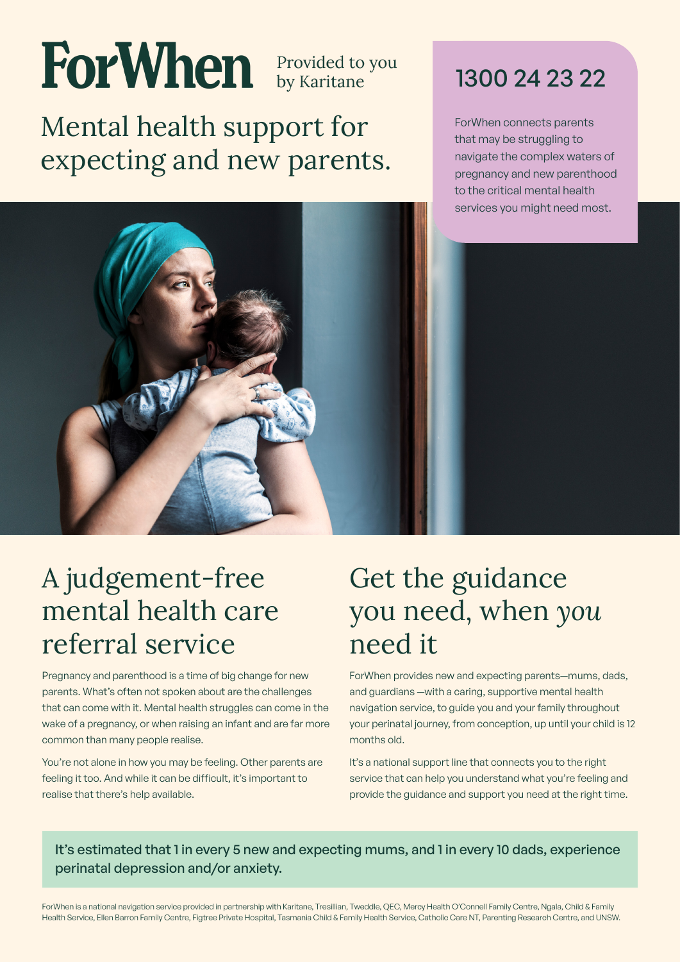# ForWhen **Provided to you**

Mental health support for expecting and new parents.



ForWhen connects parents that may be struggling to navigate the complex waters of pregnancy and new parenthood to the critical mental health services you might need most.



#### A judgement-free mental health care referral service

Pregnancy and parenthood is a time of big change for new parents. What's often not spoken about are the challenges that can come with it. Mental health struggles can come in the wake of a pregnancy, or when raising an infant and are far more common than many people realise.

You're not alone in how you may be feeling. Other parents are feeling it too. And while it can be difficult, it's important to realise that there's help available.

#### Get the guidance you need, when *you* need it

ForWhen provides new and expecting parents—mums, dads, and guardians —with a caring, supportive mental health navigation service, to guide you and your family throughout your perinatal journey, from conception, up until your child is 12 months old.

It's a national support line that connects you to the right service that can help you understand what you're feeling and provide the guidance and support you need at the right time.

It's estimated that 1 in every 5 new and expecting mums, and 1 in every 10 dads, experience perinatal depression and/or anxiety.

ForWhen is a national navigation service provided in partnership with Karitane, Tresillian, Tweddle, QEC, Mercy Health O'Connell Family Centre, Ngala, Child & Family Health Service, Ellen Barron Family Centre, Figtree Private Hospital, Tasmania Child & Family Health Service, Catholic Care NT, Parenting Research Centre, and UNSW.